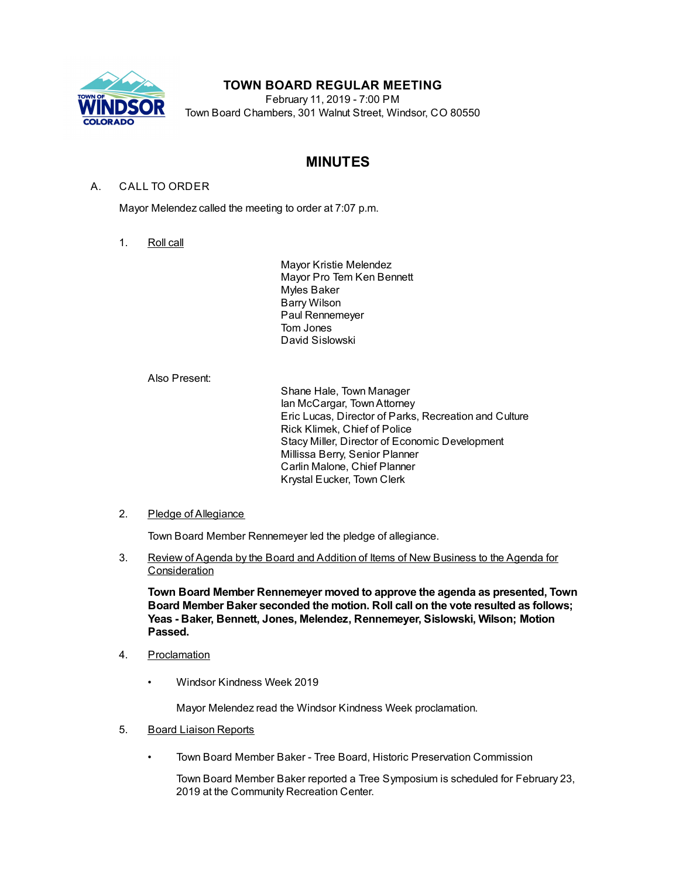

# **TOWN BOARD REGULAR MEETING**

February 11, 2019 - 7:00 PM Town Board Chambers, 301 Walnut Street, Windsor, CO 80550

# **MINUTES**

## A. CALL TO ORDER

Mayor Melendez called the meeting to order at 7:07 p.m.

1. Roll call

Mayor Kristie Melendez Mayor Pro Tem Ken Bennett Myles Baker Barry Wilson Paul Rennemeyer Tom Jones David Sislowski

Also Present:

Shane Hale, Town Manager Ian McCargar, TownAttorney Eric Lucas, Director of Parks, Recreation and Culture Rick Klimek, Chief of Police Stacy Miller, Director of Economic Development Millissa Berry, Senior Planner Carlin Malone, Chief Planner Krystal Eucker, Town Clerk

## 2. Pledge of Allegiance

Town Board Member Rennemeyer led the pledge of allegiance.

3. Review of Agenda by the Board and Addition of Items of New Business to the Agenda for **Consideration** 

**Town Board Member Rennemeyer moved to approve the agenda as presented, Town Board Member Baker seconded the motion. Roll call on the vote resulted as follows; Yeas - Baker, Bennett, Jones, Melendez, Rennemeyer, Sislowski, Wilson; Motion Passed.**

- 4. Proclamation
	- Windsor Kindness Week 2019

Mayor Melendez read the Windsor Kindness Week proclamation.

- 5. Board Liaison Reports
	- Town Board Member Baker Tree Board, Historic Preservation Commission

Town Board Member Baker reported a Tree Symposium is scheduled for February 23, 2019 at the Community Recreation Center.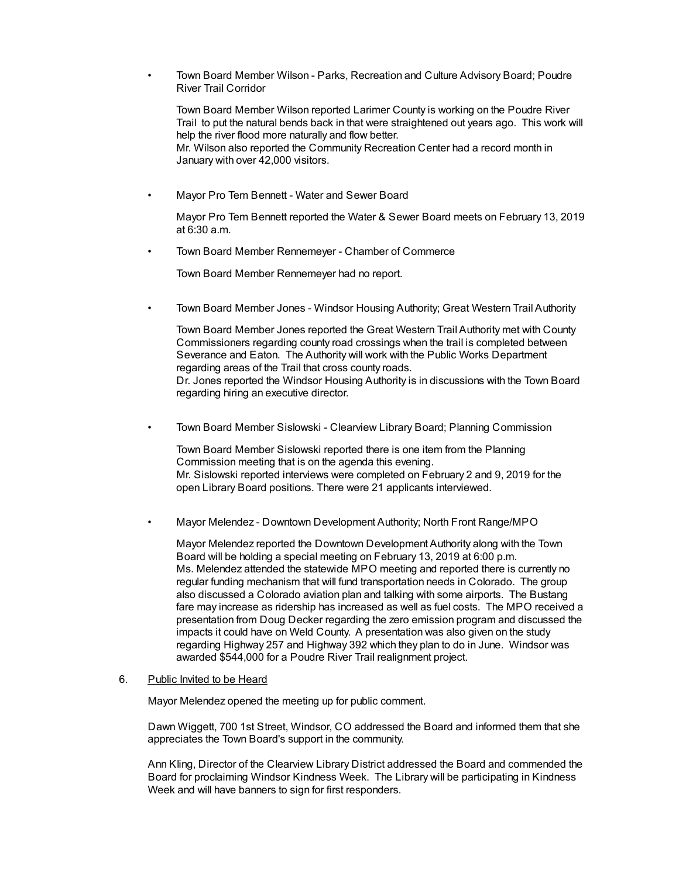• Town Board Member Wilson - Parks, Recreation and Culture Advisory Board; Poudre River Trail Corridor

Town Board Member Wilson reported Larimer County is working on the Poudre River Trail to put the natural bends back in that were straightened out years ago. This work will help the river flood more naturally and flow better.

Mr. Wilson also reported the Community Recreation Center had a record month in January with over 42,000 visitors.

• Mayor Pro Tem Bennett - Water and Sewer Board

Mayor Pro Tem Bennett reported the Water & Sewer Board meets on February 13, 2019 at 6:30 a.m.

• Town Board Member Rennemeyer - Chamber of Commerce

Town Board Member Rennemeyer had no report.

• Town Board Member Jones - Windsor Housing Authority; Great Western Trail Authority

Town Board Member Jones reported the Great Western Trail Authority met with County Commissioners regarding county road crossings when the trail is completed between Severance and Eaton. The Authority will work with the Public Works Department regarding areas of the Trail that cross county roads. Dr. Jones reported the Windsor Housing Authority is in discussions with the Town Board regarding hiring an executive director.

• Town Board Member Sislowski - Clearview Library Board; Planning Commission

Town Board Member Sislowski reported there is one item from the Planning Commission meeting that is on the agenda this evening. Mr. Sislowski reported interviews were completed on February 2 and 9, 2019 for the open Library Board positions. There were 21 applicants interviewed.

• Mayor Melendez - Downtown Development Authority; North Front Range/MPO

Mayor Melendez reported the Downtown Development Authority along with the Town Board will be holding a special meeting on February 13, 2019 at 6:00 p.m. Ms. Melendez attended the statewide MPO meeting and reported there is currently no regular funding mechanism that will fund transportation needs in Colorado. The group also discussed a Colorado aviation plan and talking with some airports. The Bustang fare may increase as ridership has increased as well as fuel costs. The MPO received a presentation from Doug Decker regarding the zero emission program and discussed the impacts it could have on Weld County. A presentation was also given on the study regarding Highway 257 and Highway 392 which they plan to do in June. Windsor was awarded \$544,000 for a Poudre River Trail realignment project.

#### 6. Public Invited to be Heard

Mayor Melendez opened the meeting up for public comment.

Dawn Wiggett, 700 1st Street, Windsor, CO addressed the Board and informed them that she appreciates the Town Board's support in the community.

Ann Kling, Director of the Clearview Library District addressed the Board and commended the Board for proclaiming Windsor Kindness Week. The Library will be participating in Kindness Week and will have banners to sign for first responders.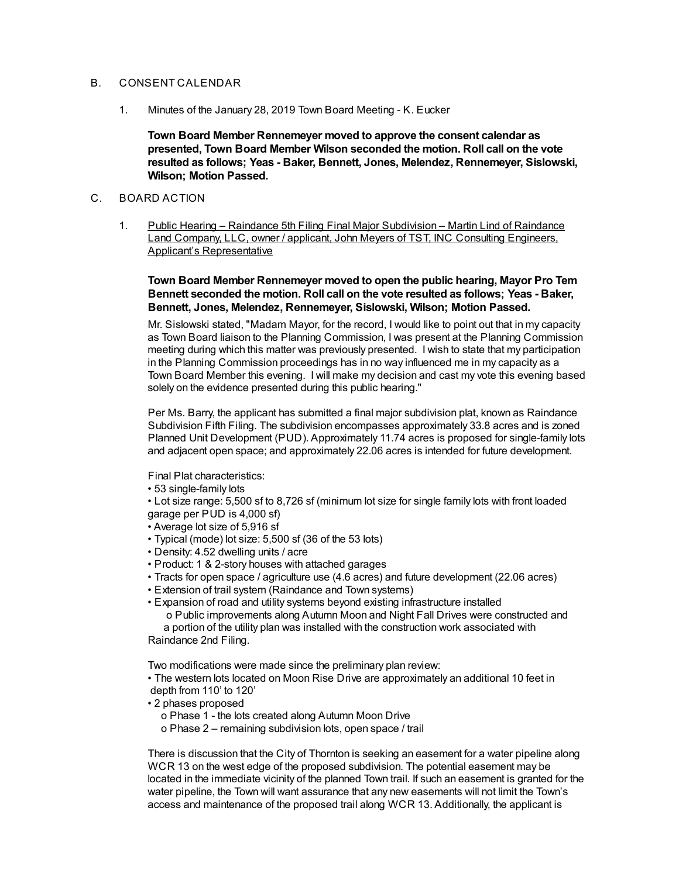### B. CONSENT CALENDAR

1. Minutes of the January 28, 2019 Town Board Meeting - K. Eucker

**Town Board Member Rennemeyer moved to approve the consent calendar as presented, Town Board Member Wilson seconded the motion. Roll call on the vote resulted as follows; Yeas - Baker, Bennett, Jones, Melendez, Rennemeyer, Sislowski, Wilson; Motion Passed.**

## C. BOARD ACTION

1. Public Hearing – Raindance 5th Filing Final Major Subdivision – Martin Lind of Raindance Land Company, LLC, owner / applicant, John Meyers of TST, INC Consulting Engineers, Applicant's Representative

**Town Board Member Rennemeyer moved to open the public hearing, Mayor Pro Tem Bennett seconded the motion. Roll call on the vote resulted as follows; Yeas - Baker, Bennett, Jones, Melendez, Rennemeyer, Sislowski, Wilson; Motion Passed.**

Mr. Sislowski stated, "Madam Mayor, for the record, I would like to point out that in my capacity as Town Board liaison to the Planning Commission, I was present at the Planning Commission meeting during which this matter was previously presented. I wish to state that my participation in the Planning Commission proceedings has in no way influenced me in my capacity as a Town Board Member this evening. I will make my decision and cast my vote this evening based solely on the evidence presented during this public hearing."

Per Ms. Barry, the applicant has submitted a final major subdivision plat, known as Raindance Subdivision Fifth Filing. The subdivision encompasses approximately 33.8 acres and is zoned Planned Unit Development (PUD). Approximately 11.74 acres is proposed for single-family lots and adjacent open space; and approximately 22.06 acres is intended for future development.

Final Plat characteristics:

• 53 single-family lots

• Lot size range: 5,500 sf to 8,726 sf (minimum lot size for single family lots with front loaded garage per PUD is 4,000 sf)

- Average lot size of 5,916 sf
- Typical (mode) lot size: 5,500 sf (36 of the 53 lots)
- Density: 4.52 dwelling units / acre
- Product: 1 & 2-story houses with attached garages
- Tracts for open space / agriculture use (4.6 acres) and future development (22.06 acres)
- Extension of trail system (Raindance and Town systems)
- Expansion of road and utility systems beyond existing infrastructure installed

o Public improvements along Autumn Moon and Night Fall Drives were constructed and a portion of the utility plan was installed with the construction work associated with Raindance 2nd Filing.

Two modifications were made since the preliminary plan review:

• The western lots located on Moon Rise Drive are approximately an additional 10 feet in depth from 110' to 120'

- 2 phases proposed
	- o Phase 1 the lots created along Autumn Moon Drive
	- o Phase 2 remaining subdivision lots, open space / trail

There is discussion that the City of Thornton is seeking an easement for a water pipeline along WCR 13 on the west edge of the proposed subdivision. The potential easement may be located in the immediate vicinity of the planned Town trail. If such an easement is granted for the water pipeline, the Town will want assurance that any new easements will not limit the Town's access and maintenance of the proposed trail along WCR 13. Additionally, the applicant is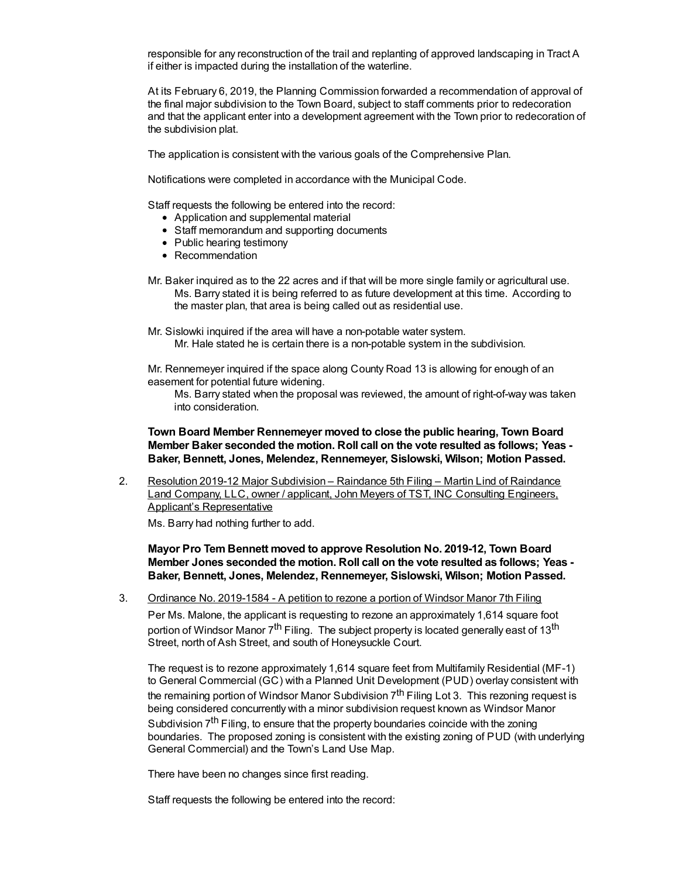responsible for any reconstruction of the trail and replanting of approved landscaping in Tract A if either is impacted during the installation of the waterline.

At its February 6, 2019, the Planning Commission forwarded a recommendation of approval of the final major subdivision to the Town Board, subject to staff comments prior to redecoration and that the applicant enter into a development agreement with the Town prior to redecoration of the subdivision plat.

The application is consistent with the various goals of the Comprehensive Plan.

Notifications were completed in accordance with the Municipal Code.

Staff requests the following be entered into the record:

- Application and supplemental material
- Staff memorandum and supporting documents
- Public hearing testimony
- Recommendation
- Mr. Baker inquired as to the 22 acres and if that will be more single family or agricultural use. Ms. Barry stated it is being referred to as future development at this time. According to the master plan, that area is being called out as residential use.
- Mr. Sislowki inquired if the area will have a non-potable water system. Mr. Hale stated he is certain there is a non-potable system in the subdivision.

Mr. Rennemeyer inquired if the space along County Road 13 is allowing for enough of an easement for potential future widening.

Ms. Barry stated when the proposal was reviewed, the amount of right-of-way was taken into consideration.

**Town Board Member Rennemeyer moved to close the public hearing, Town Board Member Baker seconded the motion. Roll call on the vote resulted as follows; Yeas - Baker, Bennett, Jones, Melendez, Rennemeyer, Sislowski, Wilson; Motion Passed.**

2. Resolution 2019-12 Major Subdivision – Raindance 5th Filing – Martin Lind of Raindance Land Company, LLC, owner / applicant, John Meyers of TST, INC Consulting Engineers, Applicant's Representative

Ms. Barry had nothing further to add.

**Mayor Pro Tem Bennett moved to approve Resolution No. 2019-12, Town Board Member Jones seconded the motion. Roll call on the vote resulted as follows; Yeas - Baker, Bennett, Jones, Melendez, Rennemeyer, Sislowski, Wilson; Motion Passed.**

3. Ordinance No. 2019-1584 - A petition to rezone a portion of Windsor Manor 7th Filing Per Ms. Malone, the applicant is requesting to rezone an approximately 1,614 square foot portion of Windsor Manor 7<sup>th</sup> Filing. The subject property is located generally east of 13<sup>th</sup> Street, north of Ash Street, and south of Honeysuckle Court.

The request is to rezone approximately 1,614 square feet from Multifamily Residential (MF-1) to General Commercial (GC) with a Planned Unit Development (PUD) overlay consistent with the remaining portion of Windsor Manor Subdivision 7<sup>th</sup> Filing Lot 3. This rezoning request is being considered concurrently with a minor subdivision request known as Windsor Manor Subdivision 7<sup>th</sup> Filing, to ensure that the property boundaries coincide with the zoning boundaries. The proposed zoning is consistent with the existing zoning of PUD (with underlying General Commercial) and the Town's Land Use Map.

There have been no changes since first reading.

Staff requests the following be entered into the record: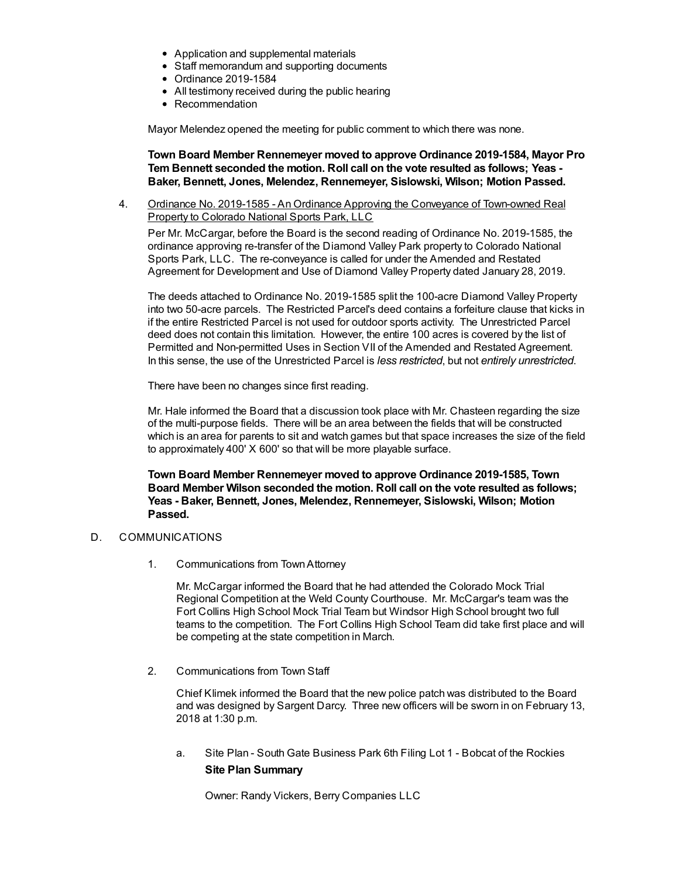- Application and supplemental materials
- Staff memorandum and supporting documents
- Ordinance 2019-1584
- All testimony received during the public hearing
- Recommendation

Mayor Melendez opened the meeting for public comment to which there was none.

**Town Board Member Rennemeyer moved to approve Ordinance 2019-1584, Mayor Pro Tem Bennett seconded the motion. Roll call on the vote resulted as follows; Yeas - Baker, Bennett, Jones, Melendez, Rennemeyer, Sislowski, Wilson; Motion Passed.**

4. Ordinance No. 2019-1585 - An Ordinance Approving the Conveyance of Town-owned Real Property to Colorado National Sports Park, LLC

Per Mr. McCargar, before the Board is the second reading of Ordinance No. 2019-1585, the ordinance approving re-transfer of the Diamond Valley Park property to Colorado National Sports Park, LLC. The re-conveyance is called for under the Amended and Restated Agreement for Development and Use of Diamond Valley Property dated January 28, 2019.

The deeds attached to Ordinance No. 2019-1585 split the 100-acre Diamond Valley Property into two 50-acre parcels. The Restricted Parcel's deed contains a forfeiture clause that kicks in if the entire Restricted Parcel is not used for outdoor sports activity. The Unrestricted Parcel deed does not contain this limitation. However, the entire 100 acres is covered by the list of Permitted and Non-permitted Uses in Section VII of the Amended and Restated Agreement. In this sense, the use of the Unrestricted Parcel is *less restricted*, but not *entirely unrestricted*.

There have been no changes since first reading.

Mr. Hale informed the Board that a discussion took place with Mr. Chasteen regarding the size of the multi-purpose fields. There will be an area between the fields that will be constructed which is an area for parents to sit and watch games but that space increases the size of the field to approximately 400' X 600' so that will be more playable surface.

**Town Board Member Rennemeyer moved to approve Ordinance 2019-1585, Town Board Member Wilson seconded the motion. Roll call on the vote resulted as follows; Yeas - Baker, Bennett, Jones, Melendez, Rennemeyer, Sislowski, Wilson; Motion Passed.**

## D. COMMUNICATIONS

1. Communications from TownAttorney

Mr. McCargar informed the Board that he had attended the Colorado Mock Trial Regional Competition at the Weld County Courthouse. Mr. McCargar's team was the Fort Collins High School Mock Trial Team but Windsor High School brought two full teams to the competition. The Fort Collins High School Team did take first place and will be competing at the state competition in March.

2. Communications from Town Staff

Chief Klimek informed the Board that the new police patch was distributed to the Board and was designed by Sargent Darcy. Three new officers will be sworn in on February 13, 2018 at 1:30 p.m.

a. Site Plan - South Gate Business Park 6th Filing Lot 1 - Bobcat of the Rockies **Site Plan Summary**

Owner: Randy Vickers, Berry Companies LLC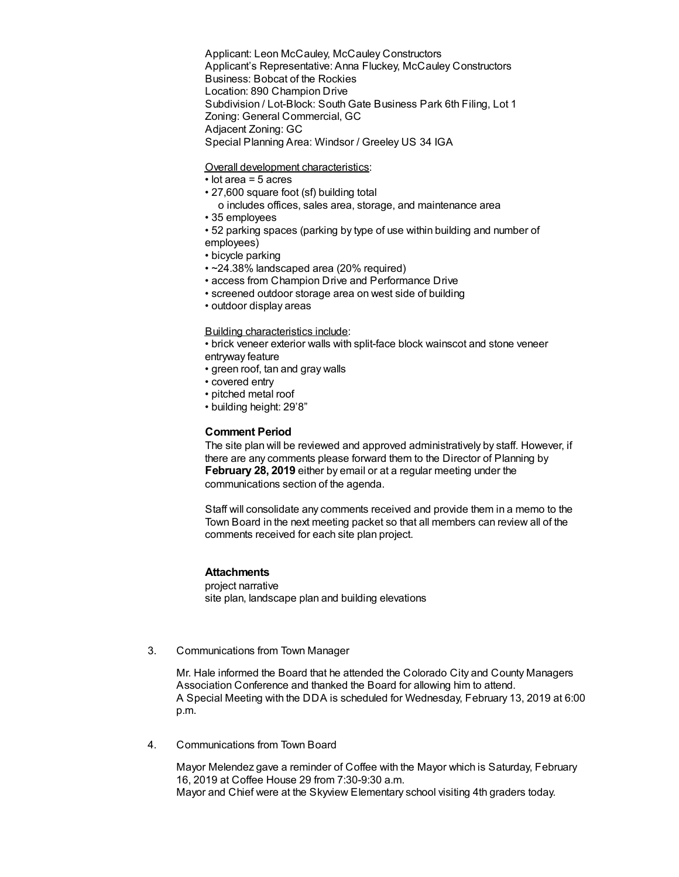Applicant: Leon McCauley, McCauley Constructors Applicant's Representative: Anna Fluckey, McCauley Constructors Business: Bobcat of the Rockies Location: 890 Champion Drive Subdivision / Lot-Block: South Gate Business Park 6th Filing, Lot 1 Zoning: General Commercial, GC Adjacent Zoning: GC Special Planning Area: Windsor / Greeley US 34 IGA

Overall development characteristics:

- lot area = 5 acres
- 27,600 square foot (sf) building total
	- o includes offices, sales area, storage, and maintenance area
- 35 employees
- 52 parking spaces (parking by type of use within building and number of employees)
- bicycle parking
- ~24.38% landscaped area (20% required)
- access from Champion Drive and Performance Drive
- screened outdoor storage area on west side of building
- outdoor display areas

#### Building characteristics include:

• brick veneer exterior walls with split-face block wainscot and stone veneer entrway feature

- green roof, tan and gray walls
- covered entry
- pitched metal roof
- building height: 29'8"

## **Comment Period**

The site plan will be reviewed and approved administratively by staff. However, if there are any comments please forward them to the Director of Planning by **February 28, 2019** either by email or at a regular meeting under the communications section of the agenda.

Staff will consolidate any comments received and provide them in a memo to the Town Board in the next meeting packet so that all members can review all of the comments received for each site plan project.

### **Attachments**

project narrative site plan, landscape plan and building elevations

3. Communications from Town Manager

Mr. Hale informed the Board that he attended the Colorado City and County Managers Association Conference and thanked the Board for allowing him to attend. A Special Meeting with the DDA is scheduled for Wednesday, February 13, 2019 at 6:00 p.m.

4. Communications from Town Board

Mayor Melendez gave a reminder of Coffee with the Mayor which is Saturday, February 16, 2019 at Coffee House 29 from 7:30-9:30 a.m. Mayor and Chief were at the Skyview Elementary school visiting 4th graders today.